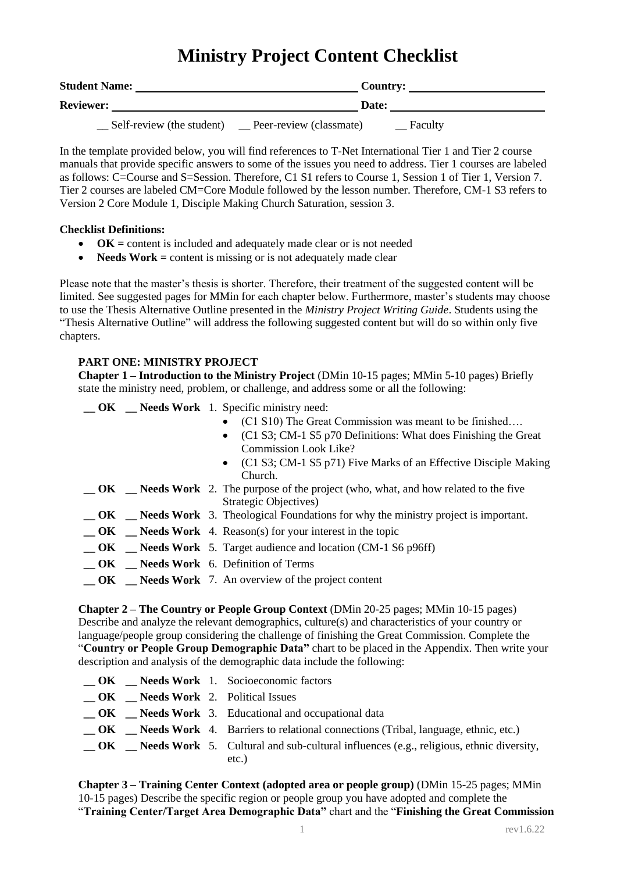# **Ministry Project Content Checklist**

| <b>Student Name:</b> |                           | Country:                |  |         |  |
|----------------------|---------------------------|-------------------------|--|---------|--|
| <b>Reviewer:</b>     |                           | Date:                   |  |         |  |
|                      | Self-review (the student) | Peer-review (classmate) |  | Faculty |  |

In the template provided below, you will find references to T-Net International Tier 1 and Tier 2 course manuals that provide specific answers to some of the issues you need to address. Tier 1 courses are labeled as follows: C=Course and S=Session. Therefore, C1 S1 refers to Course 1, Session 1 of Tier 1, Version 7. Tier 2 courses are labeled CM=Core Module followed by the lesson number. Therefore, CM-1 S3 refers to Version 2 Core Module 1, Disciple Making Church Saturation, session 3.

### **Checklist Definitions:**

- **OK =** content is included and adequately made clear or is not needed
- **Needs Work** = content is missing or is not adequately made clear

Please note that the master's thesis is shorter. Therefore, their treatment of the suggested content will be limited. See suggested pages for MMin for each chapter below. Furthermore, master's students may choose to use the Thesis Alternative Outline presented in the *Ministry Project Writing Guide*. Students using the "Thesis Alternative Outline" will address the following suggested content but will do so within only five chapters.

# **PART ONE: MINISTRY PROJECT**

**Chapter 1 – Introduction to the Ministry Project** (DMin 10-15 pages; MMin 5-10 pages) Briefly state the ministry need, problem, or challenge, and address some or all the following:

**\_\_ OK \_\_ Needs Work** 1. Specific ministry need:

- (C1 S10) The Great Commission was meant to be finished….
- (C1 S3; CM-1 S5 p70 Definitions: What does Finishing the Great Commission Look Like?
- (C1 S3; CM-1 S5 p71) Five Marks of an Effective Disciple Making Church.
- **\_\_ OK \_\_ Needs Work** 2. The purpose of the project (who, what, and how related to the five Strategic Objectives)
- **\_\_ OK \_\_ Needs Work** 3. Theological Foundations for why the ministry project is important.
- **\_\_ OK \_\_ Needs Work** 4. Reason(s) for your interest in the topic
- **\_\_ OK \_\_ Needs Work** 5. Target audience and location (CM-1 S6 p96ff)
- **\_\_ OK \_\_ Needs Work** 6. Definition of Terms
- **\_\_ OK \_\_ Needs Work** 7. An overview of the project content

**Chapter 2 – The Country or People Group Context** (DMin 20-25 pages; MMin 10-15 pages) Describe and analyze the relevant demographics, culture(s) and characteristics of your country or language/people group considering the challenge of finishing the Great Commission. Complete the "**Country or People Group Demographic Data"** chart to be placed in the Appendix. Then write your description and analysis of the demographic data include the following:

|  | $\angle$ OK $\angle$ Needs Work 1. Socioeconomic factors                                                |
|--|---------------------------------------------------------------------------------------------------------|
|  | <b>OK</b> Needs Work 2. Political Issues                                                                |
|  | $\overline{\text{OK}}$ $\overline{\text{N}}$ Needs Work 3. Educational and occupational data            |
|  | <b>OK</b> Needs Work 4. Barriers to relational connections (Tribal, language, ethnic, etc.)             |
|  | $\Box$ OK $\Box$ Needs Work 5. Cultural and sub-cultural influences (e.g., religious, ethnic diversity, |
|  | etc.)                                                                                                   |

**Chapter 3 – Training Center Context (adopted area or people group)** (DMin 15-25 pages; MMin 10-15 pages) Describe the specific region or people group you have adopted and complete the "**Training Center/Target Area Demographic Data"** chart and the "**Finishing the Great Commission**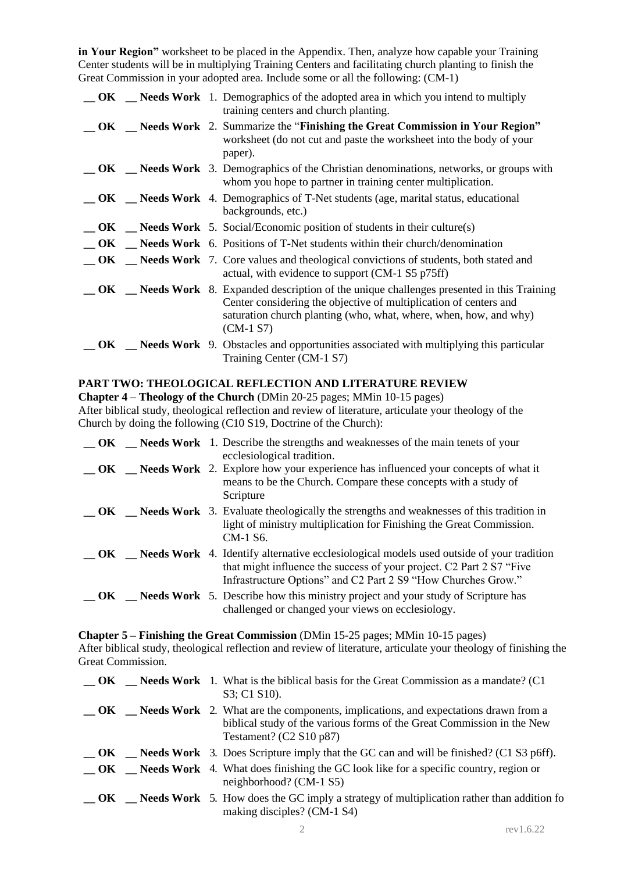**in Your Region"** worksheet to be placed in the Appendix. Then, analyze how capable your Training Center students will be in multiplying Training Centers and facilitating church planting to finish the Great Commission in your adopted area. Include some or all the following: (CM-1)

|     |  | <b>OK</b> Needs Work 1. Demographics of the adopted area in which you intend to multiply<br>training centers and church planting.                                                                                                                      |
|-----|--|--------------------------------------------------------------------------------------------------------------------------------------------------------------------------------------------------------------------------------------------------------|
| OK. |  | <b>EXECUTE:</b> Needs Work 2. Summarize the "Finishing the Great Commission in Your Region"<br>worksheet (do not cut and paste the worksheet into the body of your<br>paper).                                                                          |
|     |  | <b>OK</b> Reeds Work 3. Demographics of the Christian denominations, networks, or groups with<br>whom you hope to partner in training center multiplication.                                                                                           |
|     |  | $\bullet$ OK Needs Work 4. Demographics of T-Net students (age, marital status, educational<br>backgrounds, etc.)                                                                                                                                      |
|     |  | $\Box$ OK $\Box$ Needs Work 5. Social/Economic position of students in their culture(s)                                                                                                                                                                |
| OK  |  | <b>Needs Work</b> 6. Positions of T-Net students within their church/denomination                                                                                                                                                                      |
| OK  |  | <b>Needs Work</b> 7. Core values and theological convictions of students, both stated and<br>actual, with evidence to support (CM-1 S5 p75ff)                                                                                                          |
| OK. |  | <b>Needs Work</b> 8. Expanded description of the unique challenges presented in this Training<br>Center considering the objective of multiplication of centers and<br>saturation church planting (who, what, where, when, how, and why)<br>$(CM-1 S7)$ |
| OK. |  | <b>Needs Work</b> 9. Obstacles and opportunities associated with multiplying this particular<br>Training Center (CM-1 S7)                                                                                                                              |

# **PART TWO: THEOLOGICAL REFLECTION AND LITERATURE REVIEW**

**Chapter 4 – Theology of the Church** (DMin 20-25 pages; MMin 10-15 pages) After biblical study, theological reflection and review of literature, articulate your theology of the Church by doing the following (C10 S19, Doctrine of the Church):

|      |  | <b>OK</b> Needs Work 1. Describe the strengths and weaknesses of the main tenets of your<br>ecclesiological tradition.                                                                                                                            |
|------|--|---------------------------------------------------------------------------------------------------------------------------------------------------------------------------------------------------------------------------------------------------|
|      |  | <b>OK</b> Needs Work 2. Explore how your experience has influenced your concepts of what it<br>means to be the Church. Compare these concepts with a study of<br>Scripture                                                                        |
|      |  | $\overline{\text{OK}}$ $\overline{\text{N}}$ Needs Work 3. Evaluate theologically the strengths and weaknesses of this tradition in<br>light of ministry multiplication for Finishing the Great Commission.<br>CM-1 S6.                           |
|      |  | <b>EXECUTE:</b> Needs Work 4. Identify alternative ecclesiological models used outside of your tradition<br>that might influence the success of your project. C2 Part 2 S7 "Five<br>Infrastructure Options" and C2 Part 2 S9 "How Churches Grow." |
| – OK |  | <b>Needs Work</b> 5. Describe how this ministry project and your study of Scripture has<br>challenged or changed your views on ecclesiology.                                                                                                      |

**Chapter 5 – Finishing the Great Commission** (DMin 15-25 pages; MMin 10-15 pages) After biblical study, theological reflection and review of literature, articulate your theology of finishing the Great Commission.

|  | $\overline{\text{OK}}$ $\overline{\text{N}}$ Needs Work 1. What is the biblical basis for the Great Commission as a mandate? (C1)<br>S3; C1 S10).                                                         |
|--|-----------------------------------------------------------------------------------------------------------------------------------------------------------------------------------------------------------|
|  | <b>EXECUTE:</b> Needs Work 2. What are the components, implications, and expectations drawn from a<br>biblical study of the various forms of the Great Commission in the New<br>Testament? $(C2 S10 p87)$ |
|  | $\sim$ <b>OK</b> $\sim$ <b>Needs Work</b> 3. Does Scripture imply that the GC can and will be finished? (C1 S3 p6ff).                                                                                     |
|  | <b>IDENTIFY</b> CONFIDENT MELTING MOVE TO NET A What does finishing the GC look like for a specific country, region or<br>neighborhood? (CM-1 S5)                                                         |
|  | <b>OK</b> Needs Work 5. How does the GC imply a strategy of multiplication rather than addition fo<br>making disciples? (CM-1 S4)                                                                         |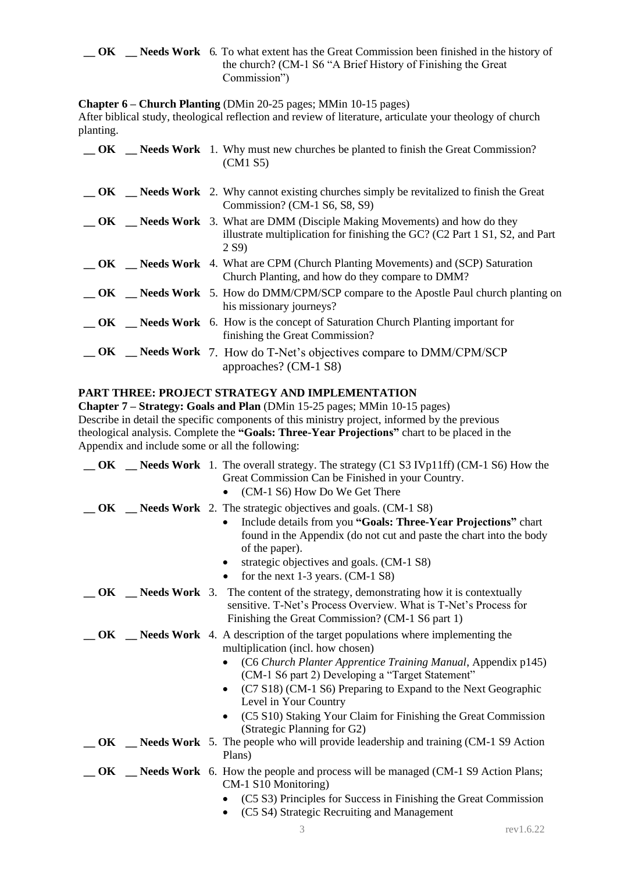**OK Needs Work** 6. To what extent has the Great Commission been finished in the history of the church? (CM-1 S6 "A Brief History of Finishing the Great Commission")

**Chapter 6 – Church Planting** (DMin 20-25 pages; MMin 10-15 pages)

After biblical study, theological reflection and review of literature, articulate your theology of church planting.

|    | $\overline{\text{OK}}$ $\overline{\text{N}}$ Needs Work 1. Why must new churches be planted to finish the Great Commission?<br>(CM1 S5)                                          |
|----|----------------------------------------------------------------------------------------------------------------------------------------------------------------------------------|
|    | $\overline{\text{OK}}$ $\overline{\text{N}}$ Needs Work 2. Why cannot existing churches simply be revitalized to finish the Great<br>Commission? (CM-1 S6, S8, S9)               |
| OK | <b>Needs Work</b> 3. What are DMM (Disciple Making Movements) and how do they<br>illustrate multiplication for finishing the GC? (C2 Part 1 S1, S2, and Part<br>2 S <sub>9</sub> |
|    | <b>COVECT</b> Section Merry A. What are CPM (Church Planting Movements) and (SCP) Saturation<br>Church Planting, and how do they compare to DMM?                                 |
|    | <b>OK</b> Needs Work 5. How do DMM/CPM/SCP compare to the Apostle Paul church planting on<br>his missionary journeys?                                                            |
|    | $\Box$ OK $\Box$ Needs Work 6. How is the concept of Saturation Church Planting important for<br>finishing the Great Commission?                                                 |
|    | $\Box$ OK $\Box$ Needs Work 7. How do T-Net's objectives compare to DMM/CPM/SCP<br>approaches? (CM-1 S8)                                                                         |

# **PART THREE: PROJECT STRATEGY AND IMPLEMENTATION**

**Chapter 7 – Strategy: Goals and Plan** (DMin 15-25 pages; MMin 10-15 pages) Describe in detail the specific components of this ministry project, informed by the previous theological analysis. Complete the **"Goals: Three-Year Projections"** chart to be placed in the Appendix and include some or all the following:

|     |  | <b>OK</b> Reeds Work 1. The overall strategy. The strategy (C1 S3 IVp11ff) (CM-1 S6) How the<br>Great Commission Can be Finished in your Country.<br>(CM-1 S6) How Do We Get There                                                                                                                                                                                                                                                       |
|-----|--|------------------------------------------------------------------------------------------------------------------------------------------------------------------------------------------------------------------------------------------------------------------------------------------------------------------------------------------------------------------------------------------------------------------------------------------|
|     |  | <b>OK</b> _ <b>Needs Work</b> 2. The strategic objectives and goals. (CM-1 S8)<br>Include details from you "Goals: Three-Year Projections" chart<br>found in the Appendix (do not cut and paste the chart into the body<br>of the paper).<br>strategic objectives and goals. (CM-1 S8)<br>for the next $1-3$ years. (CM- $1 S8$ )<br>$\bullet$                                                                                           |
|     |  | <b>OK</b> Reeds Work 3. The content of the strategy, demonstrating how it is contextually<br>sensitive. T-Net's Process Overview. What is T-Net's Process for<br>Finishing the Great Commission? (CM-1 S6 part 1)                                                                                                                                                                                                                        |
| OK. |  | <b>Needs Work</b> 4. A description of the target populations where implementing the<br>multiplication (incl. how chosen)<br>(C6 Church Planter Apprentice Training Manual, Appendix p145)<br>(CM-1 S6 part 2) Developing a "Target Statement"<br>(C7 S18) (CM-1 S6) Preparing to Expand to the Next Geographic<br>Level in Your Country<br>(C5 S10) Staking Your Claim for Finishing the Great Commission<br>(Strategic Planning for G2) |
|     |  | <b>OK</b> Reeds Work 5. The people who will provide leadership and training (CM-1 S9 Action<br>Plans)                                                                                                                                                                                                                                                                                                                                    |
|     |  | <b>OK</b> Reeds Work 6. How the people and process will be managed (CM-1 S9 Action Plans;<br>CM-1 S10 Monitoring)<br>(C5 S3) Principles for Success in Finishing the Great Commission<br>(C5 S4) Strategic Recruiting and Management                                                                                                                                                                                                     |